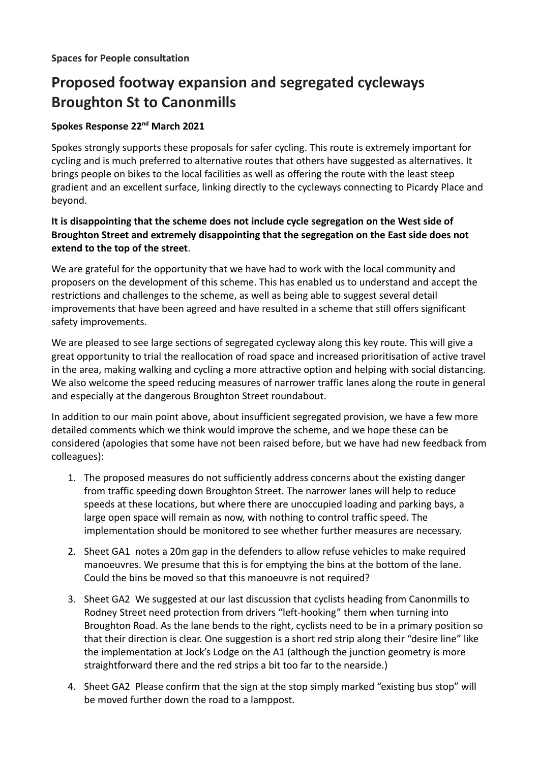## **Proposed footway expansion and segregated cycleways Broughton St to Canonmills**

## **Spokes Response 22nd March 2021**

Spokes strongly supports these proposals for safer cycling. This route is extremely important for cycling and is much preferred to alternative routes that others have suggested as alternatives. It brings people on bikes to the local facilities as well as offering the route with the least steep gradient and an excellent surface, linking directly to the cycleways connecting to Picardy Place and beyond.

## **It is disappointing that the scheme does not include cycle segregation on the West side of Broughton Street and extremely disappointing that the segregation on the East side does not extend to the top of the street**.

We are grateful for the opportunity that we have had to work with the local community and proposers on the development of this scheme. This has enabled us to understand and accept the restrictions and challenges to the scheme, as well as being able to suggest several detail improvements that have been agreed and have resulted in a scheme that still offers significant safety improvements.

We are pleased to see large sections of segregated cycleway along this key route. This will give a great opportunity to trial the reallocation of road space and increased prioritisation of active travel in the area, making walking and cycling a more attractive option and helping with social distancing. We also welcome the speed reducing measures of narrower traffic lanes along the route in general and especially at the dangerous Broughton Street roundabout.

In addition to our main point above, about insufficient segregated provision, we have a few more detailed comments which we think would improve the scheme, and we hope these can be considered (apologies that some have not been raised before, but we have had new feedback from colleagues):

- 1. The proposed measures do not sufficiently address concerns about the existing danger from traffic speeding down Broughton Street. The narrower lanes will help to reduce speeds at these locations, but where there are unoccupied loading and parking bays, a large open space will remain as now, with nothing to control traffic speed. The implementation should be monitored to see whether further measures are necessary.
- 2. Sheet GA1 notes a 20m gap in the defenders to allow refuse vehicles to make required manoeuvres. We presume that this is for emptying the bins at the bottom of the lane. Could the bins be moved so that this manoeuvre is not required?
- 3. Sheet GA2 We suggested at our last discussion that cyclists heading from Canonmills to Rodney Street need protection from drivers "left-hooking" them when turning into Broughton Road. As the lane bends to the right, cyclists need to be in a primary position so that their direction is clear. One suggestion is a short red strip along their "desire line" like the implementation at Jock's Lodge on the A1 (although the junction geometry is more straightforward there and the red strips a bit too far to the nearside.)
- 4. Sheet GA2 Please confirm that the sign at the stop simply marked "existing bus stop" will be moved further down the road to a lamppost.